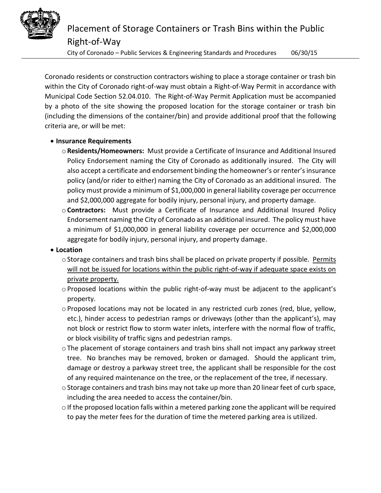

City of Coronado – Public Services & Engineering Standards and Procedures 06/30/15

Coronado residents or construction contractors wishing to place a storage container or trash bin within the City of Coronado right-of-way must obtain a Right-of-Way Permit in accordance with Municipal Code Section 52.04.010. The Right-of-Way Permit Application must be accompanied by a photo of the site showing the proposed location for the storage container or trash bin (including the dimensions of the container/bin) and provide additional proof that the following criteria are, or will be met:

### **Insurance Requirements**

- o**Residents/Homeowners:** Must provide a Certificate of Insurance and Additional Insured Policy Endorsement naming the City of Coronado as additionally insured. The City will also accept a certificate and endorsement binding the homeowner's or renter's insurance policy (and/or rider to either) naming the City of Coronado as an additional insured. The policy must provide a minimum of \$1,000,000 in general liability coverage per occurrence and \$2,000,000 aggregate for bodily injury, personal injury, and property damage.
- o**Contractors:** Must provide a Certificate of Insurance and Additional Insured Policy Endorsement naming the City of Coronado as an additional insured. The policy must have a minimum of \$1,000,000 in general liability coverage per occurrence and \$2,000,000 aggregate for bodily injury, personal injury, and property damage.

# **Location**

- o Storage containers and trash bins shall be placed on private property if possible. Permits will not be issued for locations within the public right-of-way if adequate space exists on private property.
- $\circ$  Proposed locations within the public right-of-way must be adjacent to the applicant's property.
- $\circ$  Proposed locations may not be located in any restricted curb zones (red, blue, yellow, etc.), hinder access to pedestrian ramps or driveways (other than the applicant's), may not block or restrict flow to storm water inlets, interfere with the normal flow of traffic, or block visibility of traffic signs and pedestrian ramps.
- oThe placement of storage containers and trash bins shall not impact any parkway street tree. No branches may be removed, broken or damaged. Should the applicant trim, damage or destroy a parkway street tree, the applicant shall be responsible for the cost of any required maintenance on the tree, or the replacement of the tree, if necessary.
- $\circ$  Storage containers and trash bins may not take up more than 20 linear feet of curb space, including the area needed to access the container/bin.
- $\circ$  If the proposed location falls within a metered parking zone the applicant will be required to pay the meter fees for the duration of time the metered parking area is utilized.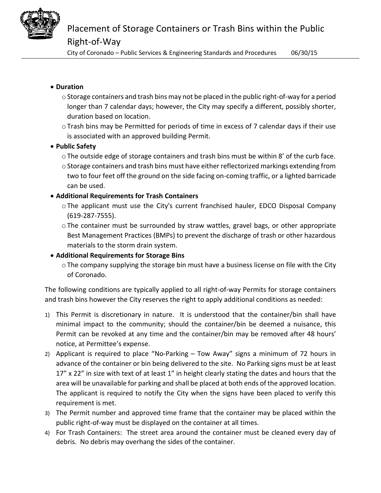

City of Coronado – Public Services & Engineering Standards and Procedures 06/30/15

## **Duration**

- $\circ$  Storage containers and trash bins may not be placed in the public right-of-way for a period longer than 7 calendar days; however, the City may specify a different, possibly shorter, duration based on location.
- $\circ$  Trash bins may be Permitted for periods of time in excess of 7 calendar days if their use is associated with an approved building Permit.

### **Public Safety**

- $\circ$  The outside edge of storage containers and trash bins must be within 8' of the curb face.
- $\circ$  Storage containers and trash bins must have either reflectorized markings extending from two to four feet off the ground on the side facing on-coming traffic, or a lighted barricade can be used.

### **Additional Requirements for Trash Containers**

- oThe applicant must use the City's current franchised hauler, EDCO Disposal Company (619-287-7555).
- oThe container must be surrounded by straw wattles, gravel bags, or other appropriate Best Management Practices (BMPs) to prevent the discharge of trash or other hazardous materials to the storm drain system.

# **Additional Requirements for Storage Bins**

oThe company supplying the storage bin must have a business license on file with the City of Coronado.

The following conditions are typically applied to all right-of-way Permits for storage containers and trash bins however the City reserves the right to apply additional conditions as needed:

- 1) This Permit is discretionary in nature. It is understood that the container/bin shall have minimal impact to the community; should the container/bin be deemed a nuisance, this Permit can be revoked at any time and the container/bin may be removed after 48 hours' notice, at Permittee's expense.
- 2) Applicant is required to place "No-Parking Tow Away" signs a minimum of 72 hours in advance of the container or bin being delivered to the site. No Parking signs must be at least 17" x 22" in size with text of at least 1" in height clearly stating the dates and hours that the area will be unavailable for parking and shall be placed at both ends of the approved location. The applicant is required to notify the City when the signs have been placed to verify this requirement is met.
- 3) The Permit number and approved time frame that the container may be placed within the public right-of-way must be displayed on the container at all times.
- 4) For Trash Containers: The street area around the container must be cleaned every day of debris. No debris may overhang the sides of the container.